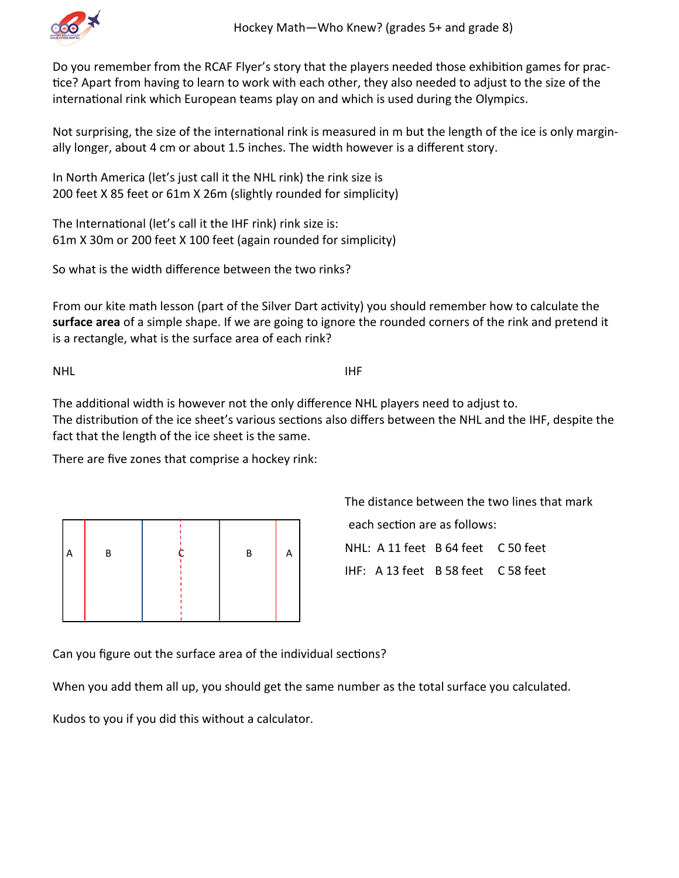

Do you remember from the RCAF Flyer's story that the players needed those exhibition games for practice? Apart from having to learn to work with each other, they also needed to adjust to the size of the international rink which European teams play on and which is used during the Olympics.

Not surprising, the size of the international rink is measured in m but the length of the ice is only marginally longer, about 4 cm or about 1.5 inches. The width however is a different story.

In North America (let's just call it the NHL rink) the rink size is 200 feet X 85 feet or 61m X 26m (slightly rounded for simplicity)

The International (let's call it the IHF rink) rink size is: 61m X 30m or 200 feet X 100 feet (again rounded for simplicity)

So what is the width difference between the two rinks?

From our kite math lesson (part of the Silver Dart activity) you should remember how to calculate the **surface area** of a simple shape. If we are going to ignore the rounded corners of the rink and pretend it is a rectangle, what is the surface area of each rink?

NHL **INFORMATION** 

The additional width is however not the only difference NHL players need to adjust to. The distribution of the ice sheet's various sections also differs between the NHL and the IHF, despite the fact that the length of the ice sheet is the same.

There are five zones that comprise a hockey rink:

| Α | В | В |  |
|---|---|---|--|
|   |   |   |  |

The distance between the two lines that mark each section are as follows: NHL: A 11 feet B 64 feet C 50 feet IHF: A 13 feet B 58 feet C 58 feet

Can you figure out the surface area of the individual sections?

When you add them all up, you should get the same number as the total surface you calculated.

Kudos to you if you did this without a calculator.